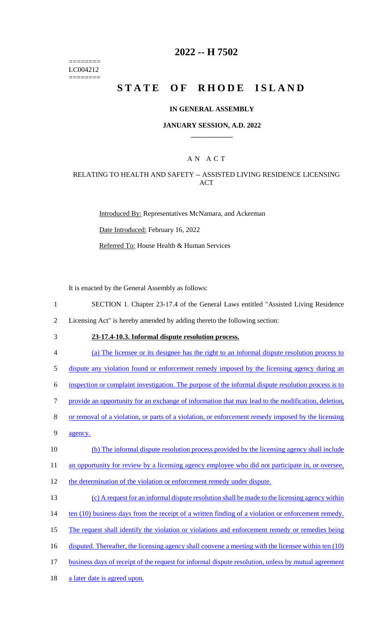======== LC004212 ========

## **2022 -- H 7502**

# **STATE OF RHODE ISLAND**

### **IN GENERAL ASSEMBLY**

### **JANUARY SESSION, A.D. 2022 \_\_\_\_\_\_\_\_\_\_\_\_**

### A N A C T

### RELATING TO HEALTH AND SAFETY -- ASSISTED LIVING RESIDENCE LICENSING **ACT**

Introduced By: Representatives McNamara, and Ackerman

Date Introduced: February 16, 2022

Referred To: House Health & Human Services

It is enacted by the General Assembly as follows:

1 SECTION 1. Chapter 23-17.4 of the General Laws entitled "Assisted Living Residence

2 Licensing Act" is hereby amended by adding thereto the following section:

## 3 **23-17.4-10.3. Informal dispute resolution process.**

4 (a) The licensee or its designee has the right to an informal dispute resolution process to

5 dispute any violation found or enforcement remedy imposed by the licensing agency during an

6 inspection or complaint investigation. The purpose of the informal dispute resolution process is to

7 provide an opportunity for an exchange of information that may lead to the modification, deletion,

- 8 or removal of a violation, or parts of a violation, or enforcement remedy imposed by the licensing
- 9 agency.
- 10 (b) The informal dispute resolution process provided by the licensing agency shall include

11 an opportunity for review by a licensing agency employee who did not participate in, or oversee,

- 12 the determination of the violation or enforcement remedy under dispute.
- 13 (c) A request for an informal dispute resolution shall be made to the licensing agency within
- 14 ten (10) business days from the receipt of a written finding of a violation or enforcement remedy.
- 15 The request shall identify the violation or violations and enforcement remedy or remedies being
- 16 disputed. Thereafter, the licensing agency shall convene a meeting with the licensee within ten (10)
- 17 business days of receipt of the request for informal dispute resolution, unless by mutual agreement
- 18 a later date is agreed upon.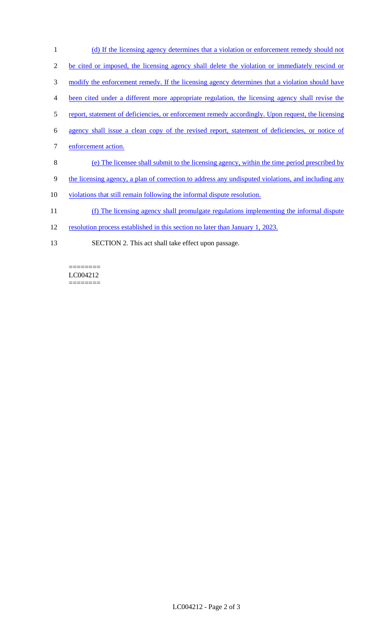- 1 (d) If the licensing agency determines that a violation or enforcement remedy should not 2 be cited or imposed, the licensing agency shall delete the violation or immediately rescind or 3 modify the enforcement remedy. If the licensing agency determines that a violation should have 4 been cited under a different more appropriate regulation, the licensing agency shall revise the 5 report, statement of deficiencies, or enforcement remedy accordingly. Upon request, the licensing 6 agency shall issue a clean copy of the revised report, statement of deficiencies, or notice of 7 enforcement action. 8 (e) The licensee shall submit to the licensing agency, within the time period prescribed by 9 the licensing agency, a plan of correction to address any undisputed violations, and including any
- 10 violations that still remain following the informal dispute resolution.
- 11 (f) The licensing agency shall promulgate regulations implementing the informal dispute
- 12 resolution process established in this section no later than January 1, 2023.
- 13 SECTION 2. This act shall take effect upon passage.

LC004212 ========

 $=$